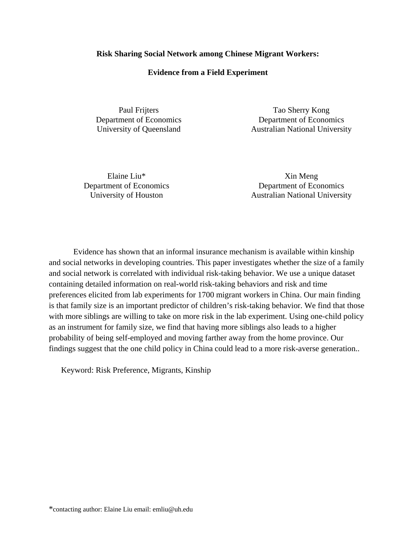## **Risk Sharing Social Network among Chinese Migrant Workers:**

## **Evidence from a Field Experiment**

Paul Frijters Department of Economics University of Queensland

Tao Sherry Kong Department of Economics Australian National University

Elaine Liu\* Department of Economics University of Houston

Xin Meng Department of Economics Australian National University

Evidence has shown that an informal insurance mechanism is available within kinship and social networks in developing countries. This paper investigates whether the size of a family and social network is correlated with individual risk-taking behavior. We use a unique dataset containing detailed information on real-world risk-taking behaviors and risk and time preferences elicited from lab experiments for 1700 migrant workers in China. Our main finding is that family size is an important predictor of children's risk-taking behavior. We find that those with more siblings are willing to take on more risk in the lab experiment. Using one-child policy as an instrument for family size, we find that having more siblings also leads to a higher probability of being self-employed and moving farther away from the home province. Our findings suggest that the one child policy in China could lead to a more risk-averse generation..

Keyword: Risk Preference, Migrants, Kinship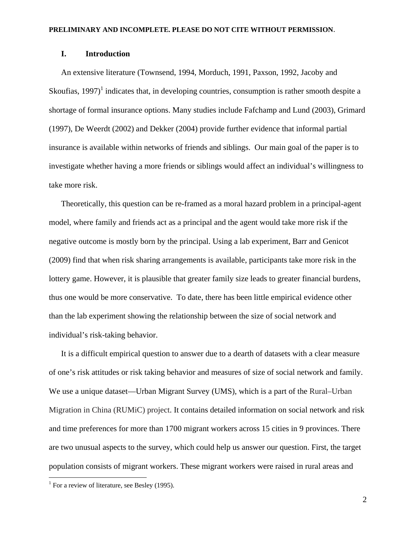# **I. Introduction**

An extensive literature (Townsend, 1994, Morduch, 1991, Paxson, 1992, Jacoby and Skoufias, 1997)<sup>1</sup> indicates that, in developing countries, consumption is rather smooth despite a shortage of formal insurance options. Many studies include Fafchamp and Lund (2003), Grimard (1997), De Weerdt (2002) and Dekker (2004) provide further evidence that informal partial insurance is available within networks of friends and siblings. Our main goal of the paper is to investigate whether having a more friends or siblings would affect an individual's willingness to take more risk.

Theoretically, this question can be re-framed as a moral hazard problem in a principal-agent model, where family and friends act as a principal and the agent would take more risk if the negative outcome is mostly born by the principal. Using a lab experiment, Barr and Genicot (2009) find that when risk sharing arrangements is available, participants take more risk in the lottery game. However, it is plausible that greater family size leads to greater financial burdens, thus one would be more conservative. To date, there has been little empirical evidence other than the lab experiment showing the relationship between the size of social network and individual's risk-taking behavior.

It is a difficult empirical question to answer due to a dearth of datasets with a clear measure of one's risk attitudes or risk taking behavior and measures of size of social network and family. We use a unique dataset—Urban Migrant Survey (UMS), which is a part of the Rural–Urban Migration in China (RUMiC) project. It contains detailed information on social network and risk and time preferences for more than 1700 migrant workers across 15 cities in 9 provinces. There are two unusual aspects to the survey, which could help us answer our question. First, the target population consists of migrant workers. These migrant workers were raised in rural areas and

 $\overline{a}$ 

<sup>&</sup>lt;sup>1</sup> For a review of literature, see Besley (1995).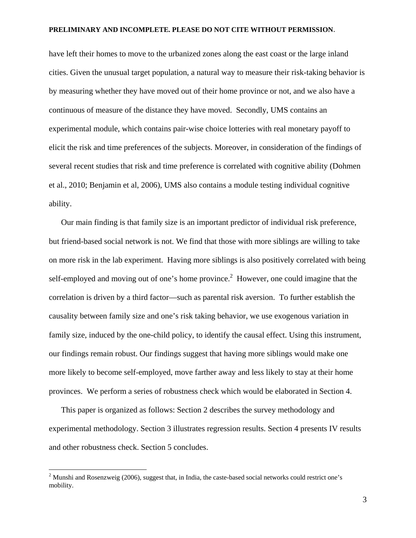have left their homes to move to the urbanized zones along the east coast or the large inland cities. Given the unusual target population, a natural way to measure their risk-taking behavior is by measuring whether they have moved out of their home province or not, and we also have a continuous of measure of the distance they have moved. Secondly, UMS contains an experimental module, which contains pair-wise choice lotteries with real monetary payoff to elicit the risk and time preferences of the subjects. Moreover, in consideration of the findings of several recent studies that risk and time preference is correlated with cognitive ability (Dohmen et al., 2010; Benjamin et al, 2006), UMS also contains a module testing individual cognitive ability.

Our main finding is that family size is an important predictor of individual risk preference, but friend-based social network is not. We find that those with more siblings are willing to take on more risk in the lab experiment. Having more siblings is also positively correlated with being self-employed and moving out of one's home province.<sup>2</sup> However, one could imagine that the correlation is driven by a third factor—such as parental risk aversion. To further establish the causality between family size and one's risk taking behavior, we use exogenous variation in family size, induced by the one-child policy, to identify the causal effect. Using this instrument, our findings remain robust. Our findings suggest that having more siblings would make one more likely to become self-employed, move farther away and less likely to stay at their home provinces. We perform a series of robustness check which would be elaborated in Section 4.

This paper is organized as follows: Section 2 describes the survey methodology and experimental methodology. Section 3 illustrates regression results. Section 4 presents IV results and other robustness check. Section 5 concludes.

1

 $2$  Munshi and Rosenzweig (2006), suggest that, in India, the caste-based social networks could restrict one's mobility.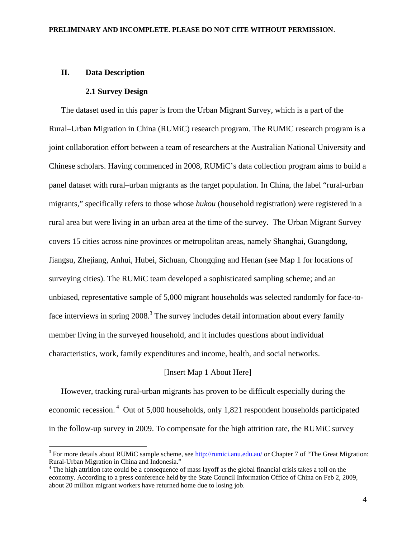## **II. Data Description**

 $\overline{a}$ 

## **2.1 Survey Design**

The dataset used in this paper is from the Urban Migrant Survey, which is a part of the Rural–Urban Migration in China (RUMiC) research program. The RUMiC research program is a joint collaboration effort between a team of researchers at the Australian National University and Chinese scholars. Having commenced in 2008, RUMiC's data collection program aims to build a panel dataset with rural–urban migrants as the target population. In China, the label "rural-urban migrants," specifically refers to those whose *hukou* (household registration) were registered in a rural area but were living in an urban area at the time of the survey. The Urban Migrant Survey covers 15 cities across nine provinces or metropolitan areas, namely Shanghai, Guangdong, Jiangsu, Zhejiang, Anhui, Hubei, Sichuan, Chongqing and Henan (see Map 1 for locations of surveying cities). The RUMiC team developed a sophisticated sampling scheme; and an unbiased, representative sample of 5,000 migrant households was selected randomly for face-toface interviews in spring  $2008$ .<sup>3</sup> The survey includes detail information about every family member living in the surveyed household, and it includes questions about individual characteristics, work, family expenditures and income, health, and social networks.

## [Insert Map 1 About Here]

However, tracking rural-urban migrants has proven to be difficult especially during the economic recession. 4 Out of 5,000 households, only 1,821 respondent households participated in the follow-up survey in 2009. To compensate for the high attrition rate, the RUMiC survey

<sup>&</sup>lt;sup>3</sup> For more details about RUMiC sample scheme, see http://rumici.anu.edu.au/ or Chapter 7 of "The Great Migration: Rural-Urban Migration in China and Indonesia."

<sup>&</sup>lt;sup>4</sup> The high attrition rate could be a consequence of mass layoff as the global financial crisis takes a toll on the economy. According to a press conference held by the State Council Information Office of China on Feb 2, 2009, about 20 million migrant workers have returned home due to losing job.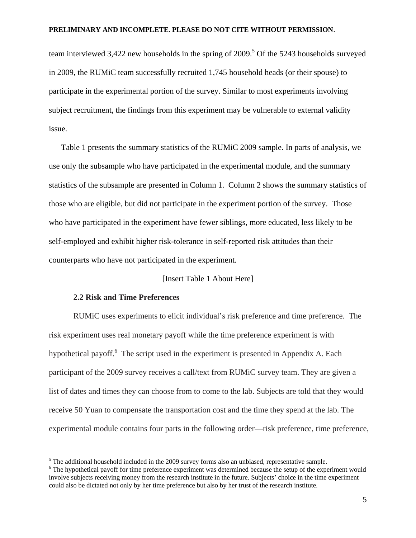team interviewed 3,422 new households in the spring of  $2009$ .<sup>5</sup> Of the 5243 households surveyed in 2009, the RUMiC team successfully recruited 1,745 household heads (or their spouse) to participate in the experimental portion of the survey. Similar to most experiments involving subject recruitment, the findings from this experiment may be vulnerable to external validity issue.

Table 1 presents the summary statistics of the RUMiC 2009 sample. In parts of analysis, we use only the subsample who have participated in the experimental module, and the summary statistics of the subsample are presented in Column 1. Column 2 shows the summary statistics of those who are eligible, but did not participate in the experiment portion of the survey. Those who have participated in the experiment have fewer siblings, more educated, less likely to be self-employed and exhibit higher risk-tolerance in self-reported risk attitudes than their counterparts who have not participated in the experiment.

## [Insert Table 1 About Here]

# **2.2 Risk and Time Preferences**

 $\overline{a}$ 

RUMiC uses experiments to elicit individual's risk preference and time preference. The risk experiment uses real monetary payoff while the time preference experiment is with hypothetical payoff.<sup>6</sup> The script used in the experiment is presented in Appendix A. Each participant of the 2009 survey receives a call/text from RUMiC survey team. They are given a list of dates and times they can choose from to come to the lab. Subjects are told that they would receive 50 Yuan to compensate the transportation cost and the time they spend at the lab. The experimental module contains four parts in the following order—risk preference, time preference,

 $<sup>5</sup>$  The additional household included in the 2009 survey forms also an unbiased, representative sample.</sup>

<sup>&</sup>lt;sup>6</sup> The hypothetical payoff for time preference experiment was determined because the setup of the experiment would involve subjects receiving money from the research institute in the future. Subjects' choice in the time experiment could also be dictated not only by her time preference but also by her trust of the research institute.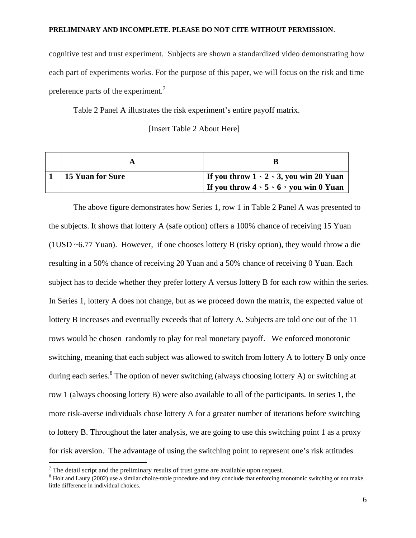cognitive test and trust experiment. Subjects are shown a standardized video demonstrating how each part of experiments works. For the purpose of this paper, we will focus on the risk and time preference parts of the experiment.<sup>7</sup>

Table 2 Panel A illustrates the risk experiment's entire payoff matrix.

[Insert Table 2 About Here]

| <b>15 Yuan for Sure</b> | If you throw $1 \cdot 2 \cdot 3$ , you win 20 Yuan<br>If you throw $4 \cdot 5 \cdot 6$ , you win 0 Yuan |
|-------------------------|---------------------------------------------------------------------------------------------------------|

The above figure demonstrates how Series 1, row 1 in Table 2 Panel A was presented to the subjects. It shows that lottery A (safe option) offers a 100% chance of receiving 15 Yuan (1USD ~6.77 Yuan). However, if one chooses lottery B (risky option), they would throw a die resulting in a 50% chance of receiving 20 Yuan and a 50% chance of receiving 0 Yuan. Each subject has to decide whether they prefer lottery A versus lottery B for each row within the series. In Series 1, lottery A does not change, but as we proceed down the matrix, the expected value of lottery B increases and eventually exceeds that of lottery A. Subjects are told one out of the 11 rows would be chosen randomly to play for real monetary payoff. We enforced monotonic switching, meaning that each subject was allowed to switch from lottery A to lottery B only once during each series.<sup>8</sup> The option of never switching (always choosing lottery A) or switching at row 1 (always choosing lottery B) were also available to all of the participants. In series 1, the more risk-averse individuals chose lottery A for a greater number of iterations before switching to lottery B. Throughout the later analysis, we are going to use this switching point 1 as a proxy for risk aversion. The advantage of using the switching point to represent one's risk attitudes

 $\overline{a}$ 

 $\frac{7}{7}$  The detail script and the preliminary results of trust game are available upon request.

 $8$  Holt and Laury (2002) use a similar choice-table procedure and they conclude that enforcing monotonic switching or not make little difference in individual choices.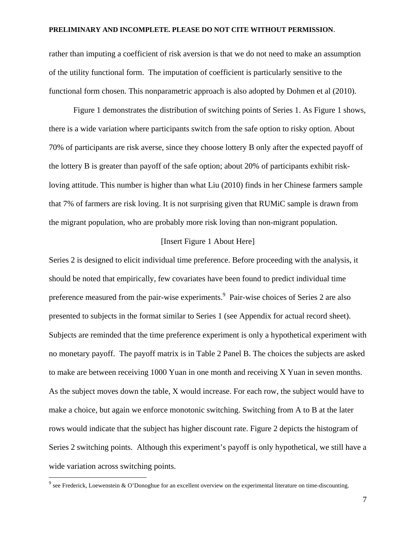rather than imputing a coefficient of risk aversion is that we do not need to make an assumption of the utility functional form. The imputation of coefficient is particularly sensitive to the functional form chosen. This nonparametric approach is also adopted by Dohmen et al (2010).

Figure 1 demonstrates the distribution of switching points of Series 1. As Figure 1 shows, there is a wide variation where participants switch from the safe option to risky option. About 70% of participants are risk averse, since they choose lottery B only after the expected payoff of the lottery B is greater than payoff of the safe option; about 20% of participants exhibit riskloving attitude. This number is higher than what Liu (2010) finds in her Chinese farmers sample that 7% of farmers are risk loving. It is not surprising given that RUMiC sample is drawn from the migrant population, who are probably more risk loving than non-migrant population.

## [Insert Figure 1 About Here]

Series 2 is designed to elicit individual time preference. Before proceeding with the analysis, it should be noted that empirically, few covariates have been found to predict individual time preference measured from the pair-wise experiments.<sup>9</sup> Pair-wise choices of Series 2 are also presented to subjects in the format similar to Series 1 (see Appendix for actual record sheet). Subjects are reminded that the time preference experiment is only a hypothetical experiment with no monetary payoff. The payoff matrix is in Table 2 Panel B. The choices the subjects are asked to make are between receiving 1000 Yuan in one month and receiving X Yuan in seven months. As the subject moves down the table, X would increase. For each row, the subject would have to make a choice, but again we enforce monotonic switching. Switching from A to B at the later rows would indicate that the subject has higher discount rate. Figure 2 depicts the histogram of Series 2 switching points. Although this experiment's payoff is only hypothetical, we still have a wide variation across switching points.

 $\overline{a}$ 

<sup>&</sup>lt;sup>9</sup> see Frederick, Loewenstein & O'Donoghue for an excellent overview on the experimental literature on time-discounting.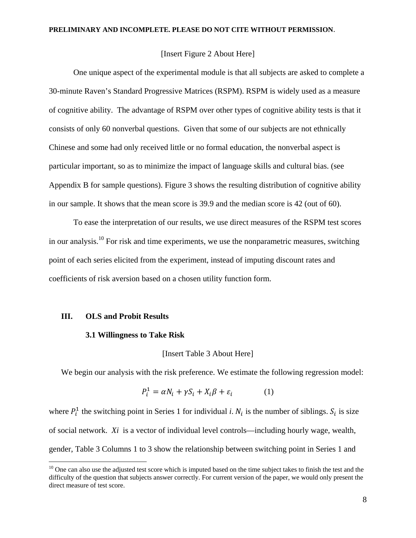## [Insert Figure 2 About Here]

One unique aspect of the experimental module is that all subjects are asked to complete a 30-minute Raven's Standard Progressive Matrices (RSPM). RSPM is widely used as a measure of cognitive ability. The advantage of RSPM over other types of cognitive ability tests is that it consists of only 60 nonverbal questions. Given that some of our subjects are not ethnically Chinese and some had only received little or no formal education, the nonverbal aspect is particular important, so as to minimize the impact of language skills and cultural bias. (see Appendix B for sample questions). Figure 3 shows the resulting distribution of cognitive ability in our sample. It shows that the mean score is 39.9 and the median score is 42 (out of 60).

To ease the interpretation of our results, we use direct measures of the RSPM test scores in our analysis.<sup>10</sup> For risk and time experiments, we use the nonparametric measures, switching point of each series elicited from the experiment, instead of imputing discount rates and coefficients of risk aversion based on a chosen utility function form.

#### **III. OLS and Probit Results**

 $\overline{a}$ 

#### **3.1 Willingness to Take Risk**

### [Insert Table 3 About Here]

We begin our analysis with the risk preference. We estimate the following regression model:

$$
P_i^1 = \alpha N_i + \gamma S_i + X_i \beta + \varepsilon_i \tag{1}
$$

where  $P_i^1$  the switching point in Series 1 for individual *i*.  $N_i$  is the number of siblings.  $S_i$  is size of social network. *Xi* is a vector of individual level controls—including hourly wage, wealth, gender, Table 3 Columns 1 to 3 show the relationship between switching point in Series 1 and

 $10$  One can also use the adjusted test score which is imputed based on the time subject takes to finish the test and the difficulty of the question that subjects answer correctly. For current version of the paper, we would only present the direct measure of test score.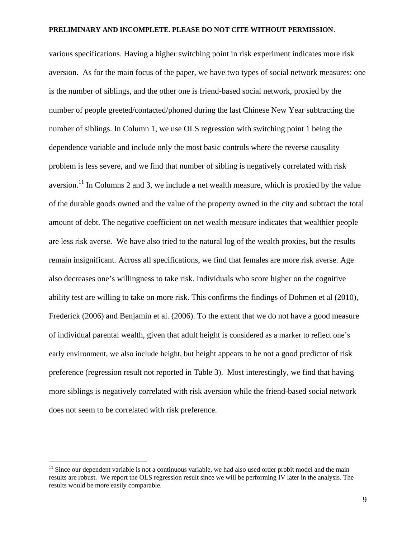various specifications. Having a higher switching point in risk experiment indicates more risk aversion. As for the main focus of the paper, we have two types of social network measures: one is the number of siblings, and the other one is friend-based social network, proxied by the number of people greeted/contacted/phoned during the last Chinese New Year subtracting the number of siblings. In Column 1, we use OLS regression with switching point 1 being the dependence variable and include only the most basic controls where the reverse causality problem is less severe, and we find that number of sibling is negatively correlated with risk aversion.<sup>11</sup> In Columns 2 and 3, we include a net wealth measure, which is proxied by the value of the durable goods owned and the value of the property owned in the city and subtract the total amount of debt. The negative coefficient on net wealth measure indicates that wealthier people are less risk averse. We have also tried to the natural log of the wealth proxies, but the results remain insignificant. Across all specifications, we find that females are more risk averse. Age also decreases one's willingness to take risk. Individuals who score higher on the cognitive ability test are willing to take on more risk. This confirms the findings of Dohmen et al (2010), Frederick (2006) and Benjamin et al. (2006). To the extent that we do not have a good measure of individual parental wealth, given that adult height is considered as a marker to reflect one's early environment, we also include height, but height appears to be not a good predictor of risk preference (regression result not reported in Table 3). Most interestingly, we find that having more siblings is negatively correlated with risk aversion while the friend-based social network does not seem to be correlated with risk preference.

1

 $11$  Since our dependent variable is not a continuous variable, we had also used order probit model and the main results are robust. We report the OLS regression result since we will be performing IV later in the analysis. The results would be more easily comparable.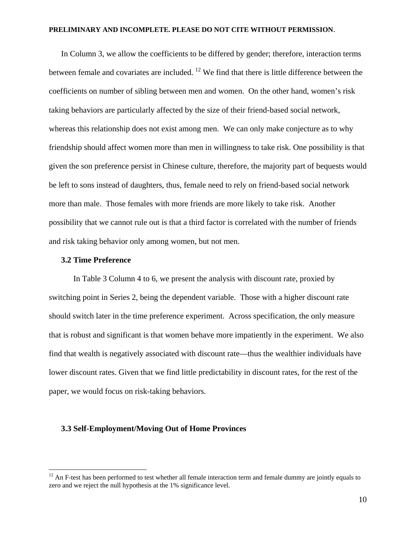In Column 3, we allow the coefficients to be differed by gender; therefore, interaction terms between female and covariates are included. <sup>12</sup> We find that there is little difference between the coefficients on number of sibling between men and women. On the other hand, women's risk taking behaviors are particularly affected by the size of their friend-based social network, whereas this relationship does not exist among men. We can only make conjecture as to why friendship should affect women more than men in willingness to take risk. One possibility is that given the son preference persist in Chinese culture, therefore, the majority part of bequests would be left to sons instead of daughters, thus, female need to rely on friend-based social network more than male. Those females with more friends are more likely to take risk. Another possibility that we cannot rule out is that a third factor is correlated with the number of friends and risk taking behavior only among women, but not men.

#### **3.2 Time Preference**

 $\overline{a}$ 

In Table 3 Column 4 to 6, we present the analysis with discount rate, proxied by switching point in Series 2, being the dependent variable. Those with a higher discount rate should switch later in the time preference experiment. Across specification, the only measure that is robust and significant is that women behave more impatiently in the experiment. We also find that wealth is negatively associated with discount rate—thus the wealthier individuals have lower discount rates. Given that we find little predictability in discount rates, for the rest of the paper, we would focus on risk-taking behaviors.

### **3.3 Self-Employment/Moving Out of Home Provinces**

 $12$  An F-test has been performed to test whether all female interaction term and female dummy are jointly equals to zero and we reject the null hypothesis at the 1% significance level.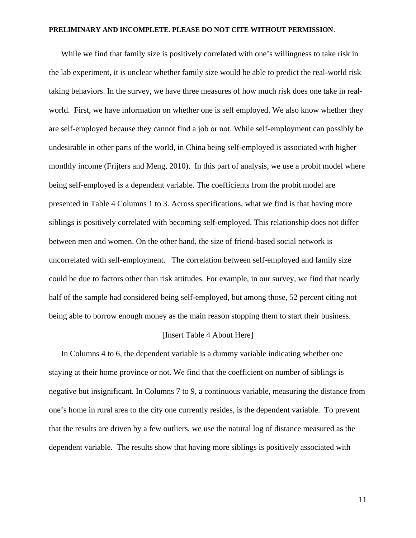While we find that family size is positively correlated with one's willingness to take risk in the lab experiment, it is unclear whether family size would be able to predict the real-world risk taking behaviors. In the survey, we have three measures of how much risk does one take in realworld. First, we have information on whether one is self employed. We also know whether they are self-employed because they cannot find a job or not. While self-employment can possibly be undesirable in other parts of the world, in China being self-employed is associated with higher monthly income (Frijters and Meng, 2010). In this part of analysis, we use a probit model where being self-employed is a dependent variable. The coefficients from the probit model are presented in Table 4 Columns 1 to 3. Across specifications, what we find is that having more siblings is positively correlated with becoming self-employed. This relationship does not differ between men and women. On the other hand, the size of friend-based social network is uncorrelated with self-employment. The correlation between self-employed and family size could be due to factors other than risk attitudes. For example, in our survey, we find that nearly half of the sample had considered being self-employed, but among those, 52 percent citing not being able to borrow enough money as the main reason stopping them to start their business.

## [Insert Table 4 About Here]

In Columns 4 to 6, the dependent variable is a dummy variable indicating whether one staying at their home province or not. We find that the coefficient on number of siblings is negative but insignificant. In Columns 7 to 9, a continuous variable, measuring the distance from one's home in rural area to the city one currently resides, is the dependent variable. To prevent that the results are driven by a few outliers, we use the natural log of distance measured as the dependent variable. The results show that having more siblings is positively associated with

11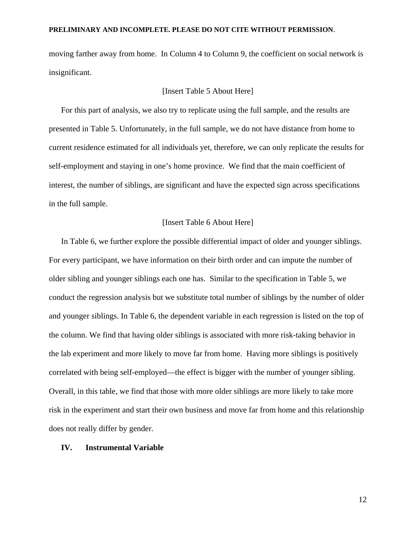moving farther away from home. In Column 4 to Column 9, the coefficient on social network is insignificant.

## [Insert Table 5 About Here]

For this part of analysis, we also try to replicate using the full sample, and the results are presented in Table 5. Unfortunately, in the full sample, we do not have distance from home to current residence estimated for all individuals yet, therefore, we can only replicate the results for self-employment and staying in one's home province. We find that the main coefficient of interest, the number of siblings, are significant and have the expected sign across specifications in the full sample.

## [Insert Table 6 About Here]

In Table 6, we further explore the possible differential impact of older and younger siblings. For every participant, we have information on their birth order and can impute the number of older sibling and younger siblings each one has. Similar to the specification in Table 5, we conduct the regression analysis but we substitute total number of siblings by the number of older and younger siblings. In Table 6, the dependent variable in each regression is listed on the top of the column. We find that having older siblings is associated with more risk-taking behavior in the lab experiment and more likely to move far from home. Having more siblings is positively correlated with being self-employed—the effect is bigger with the number of younger sibling. Overall, in this table, we find that those with more older siblings are more likely to take more risk in the experiment and start their own business and move far from home and this relationship does not really differ by gender.

### **IV. Instrumental Variable**

12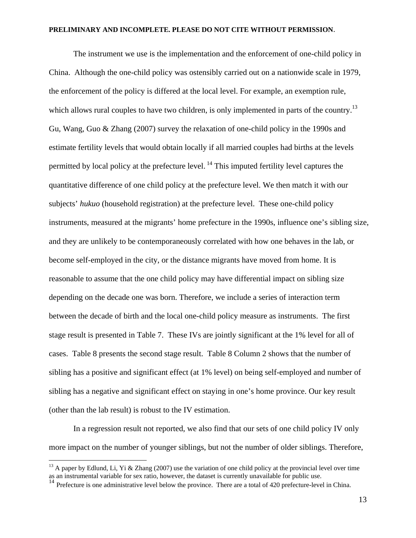The instrument we use is the implementation and the enforcement of one-child policy in China. Although the one-child policy was ostensibly carried out on a nationwide scale in 1979, the enforcement of the policy is differed at the local level. For example, an exemption rule, which allows rural couples to have two children, is only implemented in parts of the country.<sup>13</sup> Gu, Wang, Guo & Zhang (2007) survey the relaxation of one-child policy in the 1990s and estimate fertility levels that would obtain locally if all married couples had births at the levels permitted by local policy at the prefecture level.  $^{14}$  This imputed fertility level captures the quantitative difference of one child policy at the prefecture level. We then match it with our subjects' *hukuo* (household registration) at the prefecture level. These one-child policy instruments, measured at the migrants' home prefecture in the 1990s, influence one's sibling size, and they are unlikely to be contemporaneously correlated with how one behaves in the lab, or become self-employed in the city, or the distance migrants have moved from home. It is reasonable to assume that the one child policy may have differential impact on sibling size depending on the decade one was born. Therefore, we include a series of interaction term between the decade of birth and the local one-child policy measure as instruments. The first stage result is presented in Table 7. These IVs are jointly significant at the 1% level for all of cases. Table 8 presents the second stage result. Table 8 Column 2 shows that the number of sibling has a positive and significant effect (at 1% level) on being self-employed and number of sibling has a negative and significant effect on staying in one's home province. Our key result (other than the lab result) is robust to the IV estimation.

In a regression result not reported, we also find that our sets of one child policy IV only more impact on the number of younger siblings, but not the number of older siblings. Therefore,

 $\overline{a}$ 

<sup>&</sup>lt;sup>13</sup> A paper by Edlund, Li, Yi & Zhang (2007) use the variation of one child policy at the provincial level over time as an instrumental variable for sex ratio, however, the dataset is currently unavailable for public use.

 $14$  Prefecture is one administrative level below the province. There are a total of 420 prefecture-level in China.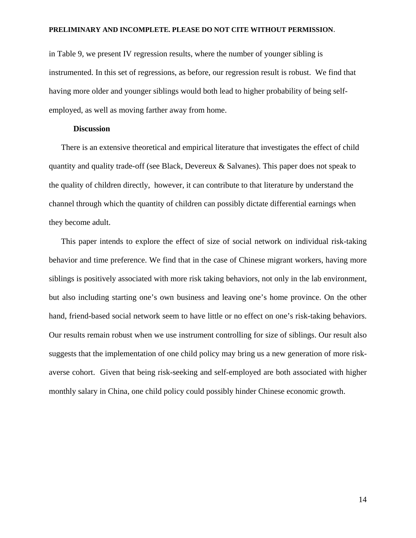in Table 9, we present IV regression results, where the number of younger sibling is instrumented. In this set of regressions, as before, our regression result is robust. We find that having more older and younger siblings would both lead to higher probability of being selfemployed, as well as moving farther away from home.

### **Discussion**

There is an extensive theoretical and empirical literature that investigates the effect of child quantity and quality trade-off (see Black, Devereux  $\&$  Salvanes). This paper does not speak to the quality of children directly, however, it can contribute to that literature by understand the channel through which the quantity of children can possibly dictate differential earnings when they become adult.

This paper intends to explore the effect of size of social network on individual risk-taking behavior and time preference. We find that in the case of Chinese migrant workers, having more siblings is positively associated with more risk taking behaviors, not only in the lab environment, but also including starting one's own business and leaving one's home province. On the other hand, friend-based social network seem to have little or no effect on one's risk-taking behaviors. Our results remain robust when we use instrument controlling for size of siblings. Our result also suggests that the implementation of one child policy may bring us a new generation of more riskaverse cohort. Given that being risk-seeking and self-employed are both associated with higher monthly salary in China, one child policy could possibly hinder Chinese economic growth.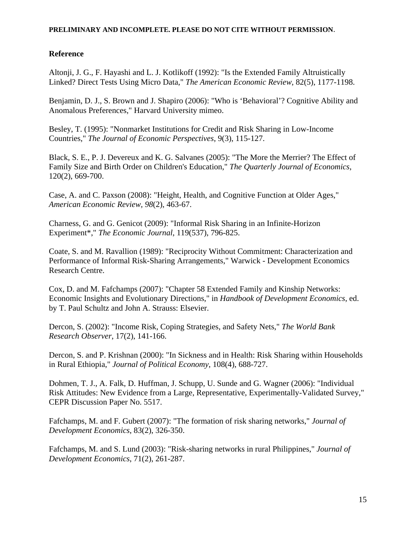# **Reference**

Altonji, J. G., F. Hayashi and L. J. Kotlikoff (1992): "Is the Extended Family Altruistically Linked? Direct Tests Using Micro Data," *The American Economic Review*, 82(5), 1177-1198.

Benjamin, D. J., S. Brown and J. Shapiro (2006): "Who is 'Behavioral'? Cognitive Ability and Anomalous Preferences," Harvard University mimeo.

Besley, T. (1995): "Nonmarket Institutions for Credit and Risk Sharing in Low-Income Countries," *The Journal of Economic Perspectives*, 9(3), 115-127.

Black, S. E., P. J. Devereux and K. G. Salvanes (2005): "The More the Merrier? The Effect of Family Size and Birth Order on Children's Education," *The Quarterly Journal of Economics*, 120(2), 669-700.

Case, A. and C. Paxson (2008): "Height, Health, and Cognitive Function at Older Ages," *American Economic Review, 98*(2), 463-67.

Charness, G. and G. Genicot (2009): "Informal Risk Sharing in an Infinite-Horizon Experiment\*," *The Economic Journal*, 119(537), 796-825.

Coate, S. and M. Ravallion (1989): "Reciprocity Without Commitment: Characterization and Performance of Informal Risk-Sharing Arrangements," Warwick - Development Economics Research Centre.

Cox, D. and M. Fafchamps (2007): "Chapter 58 Extended Family and Kinship Networks: Economic Insights and Evolutionary Directions," in *Handbook of Development Economics*, ed. by T. Paul Schultz and John A. Strauss: Elsevier.

Dercon, S. (2002): "Income Risk, Coping Strategies, and Safety Nets," *The World Bank Research Observer*, 17(2), 141-166.

Dercon, S. and P. Krishnan (2000): "In Sickness and in Health: Risk Sharing within Households in Rural Ethiopia," *Journal of Political Economy*, 108(4), 688-727.

Dohmen, T. J., A. Falk, D. Huffman, J. Schupp, U. Sunde and G. Wagner (2006): "Individual Risk Attitudes: New Evidence from a Large, Representative, Experimentally-Validated Survey," CEPR Discussion Paper No. 5517.

Fafchamps, M. and F. Gubert (2007): "The formation of risk sharing networks," *Journal of Development Economics*, 83(2), 326-350.

Fafchamps, M. and S. Lund (2003): "Risk-sharing networks in rural Philippines," *Journal of Development Economics*, 71(2), 261-287.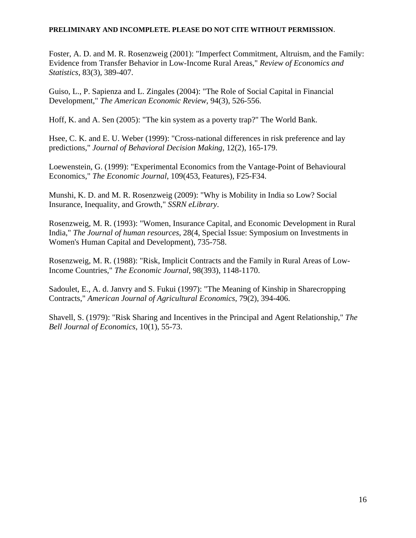Foster, A. D. and M. R. Rosenzweig (2001): "Imperfect Commitment, Altruism, and the Family: Evidence from Transfer Behavior in Low-Income Rural Areas," *Review of Economics and Statistics*, 83(3), 389-407.

Guiso, L., P. Sapienza and L. Zingales (2004): "The Role of Social Capital in Financial Development," *The American Economic Review*, 94(3), 526-556.

Hoff, K. and A. Sen (2005): "The kin system as a poverty trap?" The World Bank.

Hsee, C. K. and E. U. Weber (1999): "Cross-national differences in risk preference and lay predictions," *Journal of Behavioral Decision Making*, 12(2), 165-179.

Loewenstein, G. (1999): "Experimental Economics from the Vantage-Point of Behavioural Economics," *The Economic Journal*, 109(453, Features), F25-F34.

Munshi, K. D. and M. R. Rosenzweig (2009): "Why is Mobility in India so Low? Social Insurance, Inequality, and Growth," *SSRN eLibrary*.

Rosenzweig, M. R. (1993): "Women, Insurance Capital, and Economic Development in Rural India," *The Journal of human resources*, 28(4, Special Issue: Symposium on Investments in Women's Human Capital and Development), 735-758.

Rosenzweig, M. R. (1988): "Risk, Implicit Contracts and the Family in Rural Areas of Low-Income Countries," *The Economic Journal*, 98(393), 1148-1170.

Sadoulet, E., A. d. Janvry and S. Fukui (1997): "The Meaning of Kinship in Sharecropping Contracts," *American Journal of Agricultural Economics*, 79(2), 394-406.

Shavell, S. (1979): "Risk Sharing and Incentives in the Principal and Agent Relationship," *The Bell Journal of Economics*, 10(1), 55-73.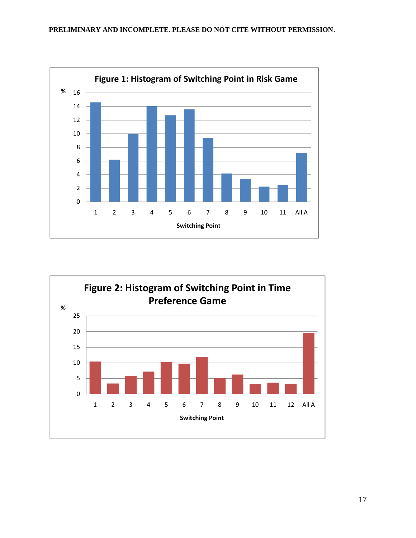

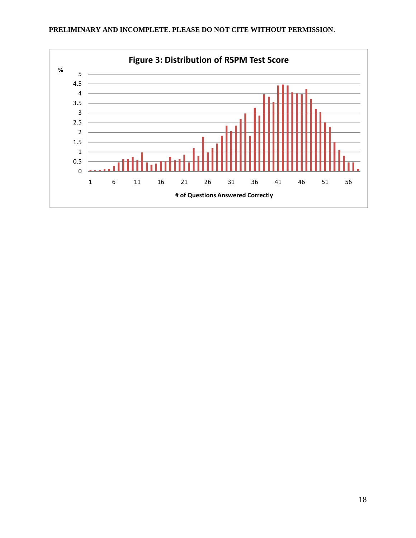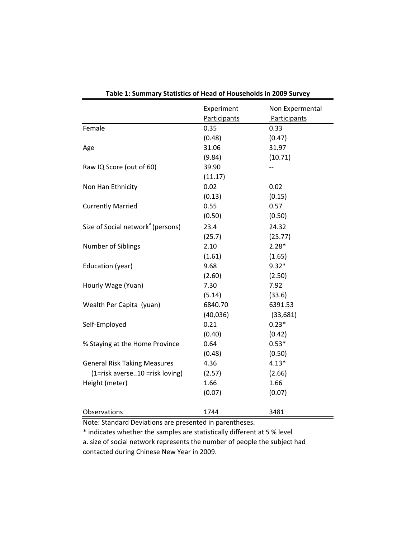|                                               | <b>Experiment</b> | Non Expermental     |
|-----------------------------------------------|-------------------|---------------------|
|                                               | Participants      | <b>Participants</b> |
| Female                                        | 0.35              | 0.33                |
|                                               | (0.48)            | (0.47)              |
| Age                                           | 31.06             | 31.97               |
|                                               | (9.84)            | (10.71)             |
| Raw IQ Score (out of 60)                      | 39.90             |                     |
|                                               | (11.17)           |                     |
| Non Han Ethnicity                             | 0.02              | 0.02                |
|                                               | (0.13)            | (0.15)              |
| <b>Currently Married</b>                      | 0.55              | 0.57                |
|                                               | (0.50)            | (0.50)              |
| Size of Social network <sup>a</sup> (persons) | 23.4              | 24.32               |
|                                               | (25.7)            | (25.77)             |
| Number of Siblings                            | 2.10              | $2.28*$             |
|                                               | (1.61)            | (1.65)              |
| Education (year)                              | 9.68              | $9.32*$             |
|                                               | (2.60)            | (2.50)              |
| Hourly Wage (Yuan)                            | 7.30              | 7.92                |
|                                               | (5.14)            | (33.6)              |
| Wealth Per Capita (yuan)                      | 6840.70           | 6391.53             |
|                                               | (40,036)          | (33, 681)           |
| Self-Employed                                 | 0.21              | $0.23*$             |
|                                               | (0.40)            | (0.42)              |
| % Staying at the Home Province                | 0.64              | $0.53*$             |
|                                               | (0.48)            | (0.50)              |
| <b>General Risk Taking Measures</b>           | 4.36              | $4.13*$             |
| (1=risk averse10 =risk loving)                | (2.57)            | (2.66)              |
| Height (meter)                                | 1.66              | 1.66                |
|                                               | (0.07)            | (0.07)              |
| Observations                                  | 1744              | 3481                |

**Table 1: Summary Statistics of Head of Households in 2009 Survey**

Note: Standard Deviations are presented in parentheses.

\* indicates whether the samples are statistically different at 5 % level a. size of social network represents the number of people the subject had contacted during Chinese New Year in 2009.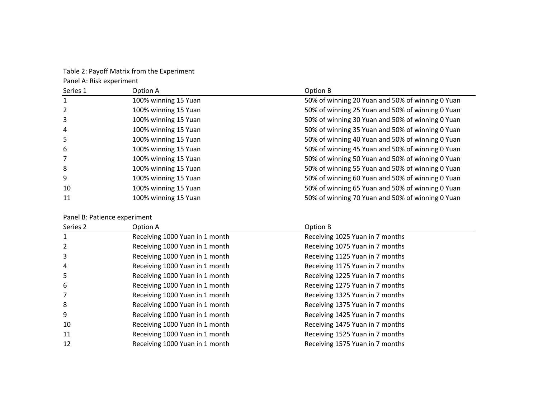Table 2: Payoff Matrix from the Experiment

Panel A: Risk experiment

| Series 1 | Option A             | Option B                                         |
|----------|----------------------|--------------------------------------------------|
| 1        | 100% winning 15 Yuan | 50% of winning 20 Yuan and 50% of winning 0 Yuan |
| 2        | 100% winning 15 Yuan | 50% of winning 25 Yuan and 50% of winning 0 Yuan |
| 3        | 100% winning 15 Yuan | 50% of winning 30 Yuan and 50% of winning 0 Yuan |
| 4        | 100% winning 15 Yuan | 50% of winning 35 Yuan and 50% of winning 0 Yuan |
| 5        | 100% winning 15 Yuan | 50% of winning 40 Yuan and 50% of winning 0 Yuan |
| 6        | 100% winning 15 Yuan | 50% of winning 45 Yuan and 50% of winning 0 Yuan |
|          | 100% winning 15 Yuan | 50% of winning 50 Yuan and 50% of winning 0 Yuan |
| 8        | 100% winning 15 Yuan | 50% of winning 55 Yuan and 50% of winning 0 Yuan |
| 9        | 100% winning 15 Yuan | 50% of winning 60 Yuan and 50% of winning 0 Yuan |
| 10       | 100% winning 15 Yuan | 50% of winning 65 Yuan and 50% of winning 0 Yuan |
| 11       | 100% winning 15 Yuan | 50% of winning 70 Yuan and 50% of winning 0 Yuan |

#### Panel B: Patience experiment

| Series 2 | Option A                       | Option B                        |
|----------|--------------------------------|---------------------------------|
|          | Receiving 1000 Yuan in 1 month | Receiving 1025 Yuan in 7 months |
|          | Receiving 1000 Yuan in 1 month | Receiving 1075 Yuan in 7 months |
| 3        | Receiving 1000 Yuan in 1 month | Receiving 1125 Yuan in 7 months |
| 4        | Receiving 1000 Yuan in 1 month | Receiving 1175 Yuan in 7 months |
| 5        | Receiving 1000 Yuan in 1 month | Receiving 1225 Yuan in 7 months |
| 6        | Receiving 1000 Yuan in 1 month | Receiving 1275 Yuan in 7 months |
|          | Receiving 1000 Yuan in 1 month | Receiving 1325 Yuan in 7 months |
| 8        | Receiving 1000 Yuan in 1 month | Receiving 1375 Yuan in 7 months |
| 9        | Receiving 1000 Yuan in 1 month | Receiving 1425 Yuan in 7 months |
| 10       | Receiving 1000 Yuan in 1 month | Receiving 1475 Yuan in 7 months |
| 11       | Receiving 1000 Yuan in 1 month | Receiving 1525 Yuan in 7 months |
| 12       | Receiving 1000 Yuan in 1 month | Receiving 1575 Yuan in 7 months |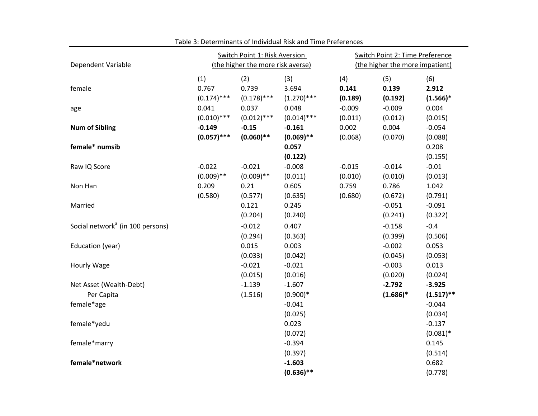| Dependent Variable                           |                               | Switch Point 1: Risk Aversion<br>(the higher the more risk averse) |                               |                         | Switch Point 2: Time Preference<br>(the higher the more impatient) |                            |  |  |
|----------------------------------------------|-------------------------------|--------------------------------------------------------------------|-------------------------------|-------------------------|--------------------------------------------------------------------|----------------------------|--|--|
| female                                       | (1)<br>0.767<br>$(0.174)$ *** | (2)<br>0.739<br>$(0.178)$ ***                                      | (3)<br>3.694<br>$(1.270)$ *** | (4)<br>0.141<br>(0.189) | (5)<br>0.139<br>(0.192)                                            | (6)<br>2.912<br>$(1.566)*$ |  |  |
| age                                          | 0.041<br>$(0.010)$ ***        | 0.037<br>$(0.012)$ ***                                             | 0.048<br>$(0.014)$ ***        | $-0.009$<br>(0.011)     | $-0.009$<br>(0.012)                                                | 0.004<br>(0.015)           |  |  |
| <b>Num of Sibling</b>                        | $-0.149$<br>$(0.057)$ ***     | $-0.15$<br>$(0.060)$ **                                            | $-0.161$<br>$(0.069)$ **      | 0.002<br>(0.068)        | 0.004<br>(0.070)                                                   | $-0.054$<br>(0.088)        |  |  |
| female* numsib                               |                               |                                                                    | 0.057<br>(0.122)              |                         |                                                                    | 0.208<br>(0.155)           |  |  |
| Raw IQ Score                                 | $-0.022$<br>$(0.009)$ **      | $-0.021$<br>$(0.009)$ **                                           | $-0.008$<br>(0.011)           | $-0.015$<br>(0.010)     | $-0.014$<br>(0.010)                                                | $-0.01$<br>(0.013)         |  |  |
| Non Han                                      | 0.209<br>(0.580)              | 0.21<br>(0.577)                                                    | 0.605<br>(0.635)              | 0.759<br>(0.680)        | 0.786<br>(0.672)                                                   | 1.042<br>(0.791)           |  |  |
| Married                                      |                               | 0.121<br>(0.204)                                                   | 0.245<br>(0.240)              |                         | $-0.051$<br>(0.241)                                                | $-0.091$<br>(0.322)        |  |  |
| Social network <sup>a</sup> (in 100 persons) |                               | $-0.012$<br>(0.294)                                                | 0.407<br>(0.363)              |                         | $-0.158$<br>(0.399)                                                | $-0.4$<br>(0.506)          |  |  |
| Education (year)                             |                               | 0.015<br>(0.033)                                                   | 0.003<br>(0.042)              |                         | $-0.002$<br>(0.045)                                                | 0.053<br>(0.053)           |  |  |
| Hourly Wage                                  |                               | $-0.021$<br>(0.015)                                                | $-0.021$<br>(0.016)           |                         | $-0.003$<br>(0.020)                                                | 0.013<br>(0.024)           |  |  |
| Net Asset (Wealth-Debt)<br>Per Capita        |                               | $-1.139$<br>(1.516)                                                | $-1.607$<br>$(0.900)*$        |                         | $-2.792$<br>$(1.686)^*$                                            | $-3.925$<br>$(1.517)$ **   |  |  |
| female*age                                   |                               |                                                                    | $-0.041$<br>(0.025)           |                         |                                                                    | $-0.044$<br>(0.034)        |  |  |
| female*yedu                                  |                               |                                                                    | 0.023<br>(0.072)              |                         |                                                                    | $-0.137$<br>$(0.081)^*$    |  |  |
| female*marry                                 |                               |                                                                    | $-0.394$<br>(0.397)           |                         |                                                                    | 0.145<br>(0.514)           |  |  |
| female*network                               |                               |                                                                    | $-1.603$<br>$(0.636)$ **      |                         |                                                                    | 0.682<br>(0.778)           |  |  |

Table 3: Determinants of Individual Risk and Time Preferences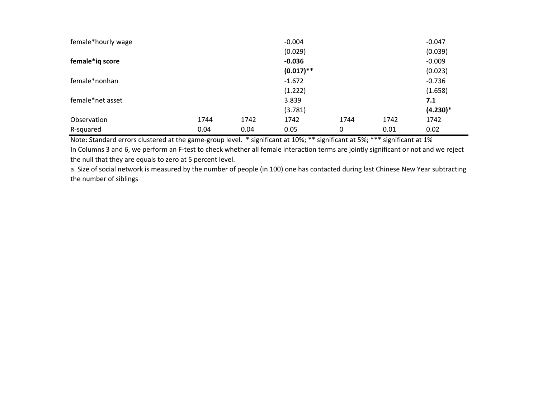| female*hourly wage |      |      | $-0.004$     |      |      | $-0.047$   |
|--------------------|------|------|--------------|------|------|------------|
|                    |      |      | (0.029)      |      |      | (0.039)    |
| female*ig score    |      |      | $-0.036$     |      |      | $-0.009$   |
|                    |      |      | $(0.017)$ ** |      |      | (0.023)    |
| female*nonhan      |      |      | $-1.672$     |      |      | $-0.736$   |
|                    |      |      | (1.222)      |      |      | (1.658)    |
| female*net asset   |      |      | 3.839        |      |      | 7.1        |
|                    |      |      | (3.781)      |      |      | $(4.230)*$ |
| Observation        | 1744 | 1742 | 1742         | 1744 | 1742 | 1742       |
| R-squared          | 0.04 | 0.04 | 0.05         | 0    | 0.01 | 0.02       |

Note: Standard errors clustered at the game‐group level. \* significant at 10%; \*\* significant at 5%; \*\*\* significant at 1% In Columns 3 and 6, we perform an F‐test to check whether all female interaction terms are jointly significant or not and we reject

the null that they are equals to zero at 5 percent level.

a. Size of social network is measured by the number of people (in 100) one has contacted during last Chinese New Year subtracting the number of siblings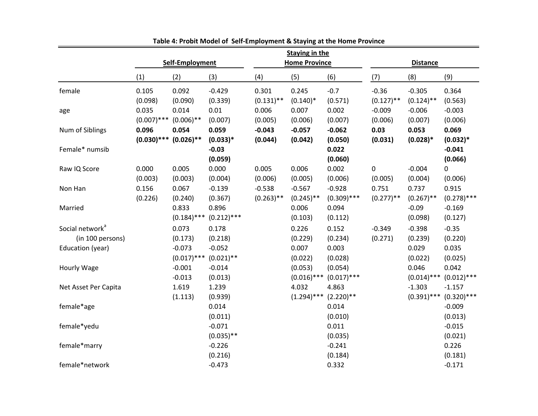|                             |               |                 |               |              | <b>Staying in the</b>                   |               |              |               |               |
|-----------------------------|---------------|-----------------|---------------|--------------|-----------------------------------------|---------------|--------------|---------------|---------------|
|                             |               | Self-Employment |               |              | <b>Home Province</b><br><b>Distance</b> |               |              |               |               |
|                             | (1)           | (2)             | (3)           | (4)          | (5)                                     | (6)           | (7)          | (8)           | (9)           |
| female                      | 0.105         | 0.092           | $-0.429$      | 0.301        | 0.245                                   | $-0.7$        | $-0.36$      | $-0.305$      | 0.364         |
|                             | (0.098)       | (0.090)         | (0.339)       | $(0.131)$ ** | $(0.140)^*$                             | (0.571)       | $(0.127)$ ** | $(0.124)$ **  | (0.563)       |
| age                         | 0.035         | 0.014           | 0.01          | 0.006        | 0.007                                   | 0.002         | $-0.009$     | $-0.006$      | $-0.003$      |
|                             | $(0.007)$ *** | $(0.006)$ **    | (0.007)       | (0.005)      | (0.006)                                 | (0.007)       | (0.006)      | (0.007)       | (0.006)       |
| Num of Siblings             | 0.096         | 0.054           | 0.059         | $-0.043$     | $-0.057$                                | $-0.062$      | 0.03         | 0.053         | 0.069         |
|                             | $(0.030)$ *** | $(0.026)$ **    | $(0.033)*$    | (0.044)      | (0.042)                                 | (0.050)       | (0.031)      | $(0.028)*$    | $(0.032)*$    |
| Female* numsib              |               |                 | $-0.03$       |              |                                         | 0.022         |              |               | $-0.041$      |
|                             |               |                 | (0.059)       |              |                                         | (0.060)       |              |               | (0.066)       |
| Raw IQ Score                | 0.000         | 0.005           | 0.000         | 0.005        | 0.006                                   | 0.002         | $\mathbf 0$  | $-0.004$      | 0             |
|                             | (0.003)       | (0.003)         | (0.004)       | (0.006)      | (0.005)                                 | (0.006)       | (0.005)      | (0.004)       | (0.006)       |
| Non Han                     | 0.156         | 0.067           | $-0.139$      | $-0.538$     | $-0.567$                                | $-0.928$      | 0.751        | 0.737         | 0.915         |
|                             | (0.226)       | (0.240)         | (0.367)       | $(0.263)$ ** | $(0.245)$ **                            | $(0.309)$ *** | $(0.277)$ ** | $(0.267)$ **  | $(0.278)$ *** |
| Married                     |               | 0.833           | 0.896         |              | 0.006                                   | 0.094         |              | $-0.09$       | $-0.169$      |
|                             |               | $(0.184)$ ***   | $(0.212)$ *** |              | (0.103)                                 | (0.112)       |              | (0.098)       | (0.127)       |
| Social network <sup>a</sup> |               | 0.073           | 0.178         |              | 0.226                                   | 0.152         | $-0.349$     | $-0.398$      | $-0.35$       |
| (in 100 persons)            |               | (0.173)         | (0.218)       |              | (0.229)                                 | (0.234)       | (0.271)      | (0.239)       | (0.220)       |
| Education (year)            |               | $-0.073$        | $-0.052$      |              | 0.007                                   | 0.003         |              | 0.029         | 0.035         |
|                             |               | $(0.017)$ ***   | $(0.021)$ **  |              | (0.022)                                 | (0.028)       |              | (0.022)       | (0.025)       |
| Hourly Wage                 |               | $-0.001$        | $-0.014$      |              | (0.053)                                 | (0.054)       |              | 0.046         | 0.042         |
|                             |               | $-0.013$        | (0.013)       |              | $(0.016)$ ***                           | $(0.017)$ *** |              | $(0.014)$ *** | $(0.012)$ *** |
| Net Asset Per Capita        |               | 1.619           | 1.239         |              | 4.032                                   | 4.863         |              | $-1.303$      | $-1.157$      |
|                             |               | (1.113)         | (0.939)       |              | $(1.294)$ ***                           | $(2.220)$ **  |              | $(0.391)$ *** | $(0.320)$ *** |
| female*age                  |               |                 | 0.014         |              |                                         | 0.014         |              |               | $-0.009$      |
|                             |               |                 | (0.011)       |              |                                         | (0.010)       |              |               | (0.013)       |
| female*yedu                 |               |                 | $-0.071$      |              |                                         | 0.011         |              |               | $-0.015$      |
|                             |               |                 | $(0.035)$ **  |              |                                         | (0.035)       |              |               | (0.021)       |
| female*marry                |               |                 | $-0.226$      |              |                                         | $-0.241$      |              |               | 0.226         |
|                             |               |                 | (0.216)       |              |                                         | (0.184)       |              |               | (0.181)       |
| female*network              |               |                 | $-0.473$      |              |                                         | 0.332         |              |               | $-0.171$      |

**Table 4: Probit Model of Self‐Employment & Staying at the Home Provinc e**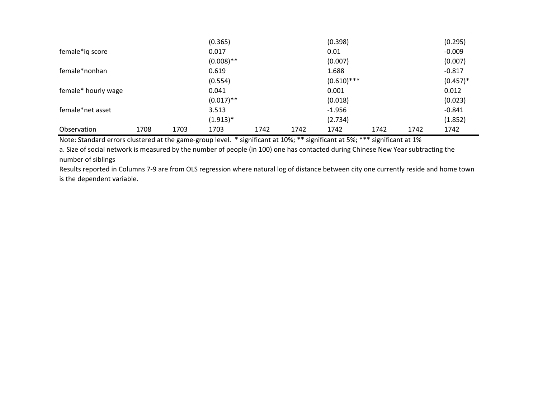|                     |      |      | (0.365)      |      |      | (0.398)       |      |      | (0.295)     |
|---------------------|------|------|--------------|------|------|---------------|------|------|-------------|
| female*ig score     |      |      | 0.017        |      |      | 0.01          |      |      | $-0.009$    |
|                     |      |      | $(0.008)$ ** |      |      | (0.007)       |      |      | (0.007)     |
| female*nonhan       |      |      | 0.619        |      |      | 1.688         |      |      | $-0.817$    |
|                     |      |      | (0.554)      |      |      | $(0.610)$ *** |      |      | $(0.457)^*$ |
| female* hourly wage |      |      | 0.041        |      |      | 0.001         |      |      | 0.012       |
|                     |      |      | $(0.017)$ ** |      |      | (0.018)       |      |      | (0.023)     |
| female*net asset    |      |      | 3.513        |      |      | $-1.956$      |      |      | $-0.841$    |
|                     |      |      | $(1.913)*$   |      |      | (2.734)       |      |      | (1.852)     |
| Observation         | 1708 | 1703 | 1703         | 1742 | 1742 | 1742          | 1742 | 1742 | 1742        |

Note: Standard errors clustered at the game‐group level. \* significant at 10%; \*\* significant at 5%; \*\*\* significant at 1%

a. Size of social network is measured by the number of people (in 100) one has contacted during Chinese New Year subtracting the number of siblings

Results reported in Columns 7‐9 are from OLS regression where natural log of distance between city one currently reside and home town is the dependent variable.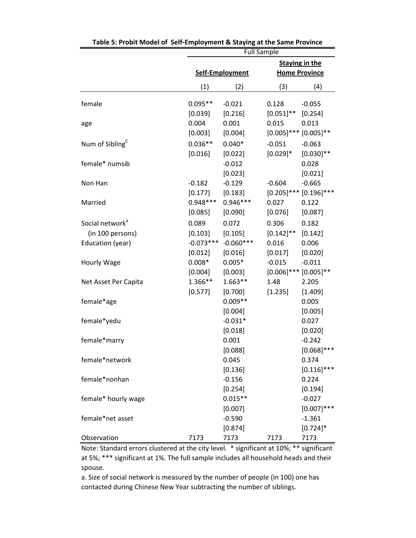|                                                 |                        | <b>Full Sample</b>     |                                        |                                               |  |  |  |
|-------------------------------------------------|------------------------|------------------------|----------------------------------------|-----------------------------------------------|--|--|--|
|                                                 |                        | Self-Employment        |                                        | <b>Staying in the</b><br><b>Home Province</b> |  |  |  |
|                                                 | (1)                    | (2)                    | (3)                                    | (4)                                           |  |  |  |
| female                                          | $0.095**$<br>[0.039]   | $-0.021$<br>[0.216]    | 0.128<br>$[0.051]$ **                  | $-0.055$<br>[0.254]                           |  |  |  |
| age                                             | 0.004<br>[0.003]       | 0.001<br>[0.004]       | 0.015<br>$[0.005]$ ***                 | 0.013<br>$[0.005]$ **                         |  |  |  |
| Num of Sibling <sup>C</sup>                     | $0.036**$<br>[0.016]   | $0.040*$<br>[0.022]    | $-0.051$<br>$[0.029]$ *                | $-0.063$<br>$[0.030]$ **                      |  |  |  |
| female* numsib                                  |                        | $-0.012$<br>[0.023]    |                                        | 0.028<br>[0.021]                              |  |  |  |
| Non Han                                         | $-0.182$<br>[0.177]    | $-0.129$<br>[0.183]    | $-0.604$<br>$[0.205]$ ***              | $-0.665$<br>$[0.196]$ ***                     |  |  |  |
| Married                                         | $0.948***$<br>[0.085]  | $0.946***$<br>[0.090]  | 0.027<br>[0.076]                       | 0.122<br>[0.087]                              |  |  |  |
| Social network <sup>a</sup><br>(in 100 persons) | 0.089<br>[0.103]       | 0.072<br>[0.105]       | 0.306<br>$[0.142]$ **                  | 0.182<br>[0.142]                              |  |  |  |
| Education (year)                                | $-0.073***$<br>[0.012] | $-0.060***$<br>[0.016] | 0.016<br>[0.017]                       | 0.006<br>[0.020]                              |  |  |  |
| Hourly Wage                                     | $0.008*$<br>[0.004]    | $0.005*$<br>[0.003]    | $-0.015$<br>$[0.006]$ *** $[0.005]$ ** | $-0.011$                                      |  |  |  |
| Net Asset Per Capita                            | 1.366**<br>[0.577]     | $1.663**$<br>[0.700]   | 1.48<br>[1.235]                        | 2.205<br>[1.409]                              |  |  |  |
| female*age                                      |                        | $0.009**$<br>[0.004]   |                                        | 0.005<br>[0.005]                              |  |  |  |
| female*yedu                                     |                        | $-0.031*$<br>[0.018]   |                                        | 0.027<br>[0.020]                              |  |  |  |
| female*marry                                    |                        | 0.001<br>[0.088]       |                                        | $-0.242$<br>$[0.068]$ ***                     |  |  |  |
| female*network                                  |                        | 0.045<br>[0.136]       |                                        | 0.374<br>$[0.116]$ ***                        |  |  |  |
| female*nonhan                                   |                        | $-0.156$<br>[0.254]    |                                        | 0.224<br>[0.194]                              |  |  |  |
| female* hourly wage                             |                        | $0.015**$<br>[0.007]   |                                        | $-0.027$<br>$[0.007]$ ***                     |  |  |  |
| female*net asset                                |                        | $-0.590$<br>[0.874]    |                                        | $-1.361$<br>$[0.724]$ *                       |  |  |  |
| Observation                                     | 7173                   | 7173                   | 7173                                   | 7173                                          |  |  |  |

**Table 5: Probit Model of Self‐Employment & Staying at the Same Province**

Note: Standard errors clustered at the city level. \* significant at 10%; \*\* significant at 5%; \*\*\* significant at 1%. The full sample includes all household heads and their spouse.

a. Size of social network is measured by the number of people (in 100) one has contacted during Chinese New Year subtracting the number of siblings.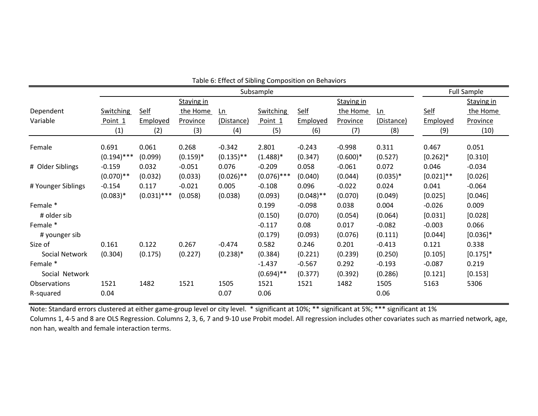|                    |               |               |             |              | Subsample        |              |            |            |              | <b>Full Sample</b> |
|--------------------|---------------|---------------|-------------|--------------|------------------|--------------|------------|------------|--------------|--------------------|
|                    |               |               | Staying in  |              |                  |              | Staying in |            |              | Staying in         |
| Dependent          | Switching     | <b>Self</b>   | the Home    | $Ln$         | <b>Switching</b> | <b>Self</b>  | the Home   | $ln$       | <b>Self</b>  | the Home           |
| Variable           | Point 1       | Employed      | Province    | (Distance)   | Point 1          | Employed     | Province   | (Distance) | Employed     | <b>Province</b>    |
|                    | (1)           | (2)           | (3)         | (4)          | (5)              | (6)          | (7)        | (8)        | (9)          | (10)               |
| Female             | 0.691         | 0.061         | 0.268       | $-0.342$     | 2.801            | $-0.243$     | $-0.998$   | 0.311      | 0.467        | 0.051              |
|                    | $(0.194)$ *** | (0.099)       | $(0.159)^*$ | $(0.135)$ ** | $(1.488)*$       | (0.347)      | $(0.600)*$ | (0.527)    | $[0.262]$ *  | [0.310]            |
| # Older Siblings   | $-0.159$      | 0.032         | $-0.051$    | 0.076        | $-0.209$         | 0.058        | $-0.061$   | 0.072      | 0.046        | $-0.034$           |
|                    | $(0.070)$ **  | (0.032)       | (0.033)     | $(0.026)$ ** | $(0.076)$ ***    | (0.040)      | (0.044)    | $(0.035)*$ | $[0.021]$ ** | [0.026]            |
| # Younger Siblings | $-0.154$      | 0.117         | $-0.021$    | 0.005        | $-0.108$         | 0.096        | $-0.022$   | 0.024      | 0.041        | $-0.064$           |
|                    | $(0.083)*$    | $(0.031)$ *** | (0.058)     | (0.038)      | (0.093)          | $(0.048)$ ** | (0.070)    | (0.049)    | [0.025]      | [0.046]            |
| Female *           |               |               |             |              | 0.199            | $-0.098$     | 0.038      | 0.004      | $-0.026$     | 0.009              |
| # older sib        |               |               |             |              | (0.150)          | (0.070)      | (0.054)    | (0.064)    | [0.031]      | [0.028]            |
| Female *           |               |               |             |              | $-0.117$         | 0.08         | 0.017      | $-0.082$   | $-0.003$     | 0.066              |
| # younger sib      |               |               |             |              | (0.179)          | (0.093)      | (0.076)    | (0.111)    | [0.044]      | $[0.036]$ *        |
| Size of            | 0.161         | 0.122         | 0.267       | $-0.474$     | 0.582            | 0.246        | 0.201      | $-0.413$   | 0.121        | 0.338              |
| Social Network     | (0.304)       | (0.175)       | (0.227)     | $(0.238)*$   | (0.384)          | (0.221)      | (0.239)    | (0.250)    | [0.105]      | $[0.175]$ *        |
| Female *           |               |               |             |              | $-1.437$         | $-0.567$     | 0.292      | $-0.193$   | $-0.087$     | 0.219              |
| Social Network     |               |               |             |              | $(0.694)$ **     | (0.377)      | (0.392)    | (0.286)    | [0.121]      | [0.153]            |
| Observations       | 1521          | 1482          | 1521        | 1505         | 1521             | 1521         | 1482       | 1505       | 5163         | 5306               |
| R-squared          | 0.04          |               |             | 0.07         | 0.06             |              |            | 0.06       |              |                    |

Table 6: Effect of Sibling Composition on Behaviors

Note: Standard errors clustered at either game‐group level or city level. \* significant at 10%; \*\* significant at 5%; \*\*\* significant at 1% Columns 1, 4‐5 and 8 are OLS Regression. Columns 2, 3, 6, 7 and 9‐10 use Probit model. All regression includes other covariates such as married network, age, non han, wealth and female interaction terms.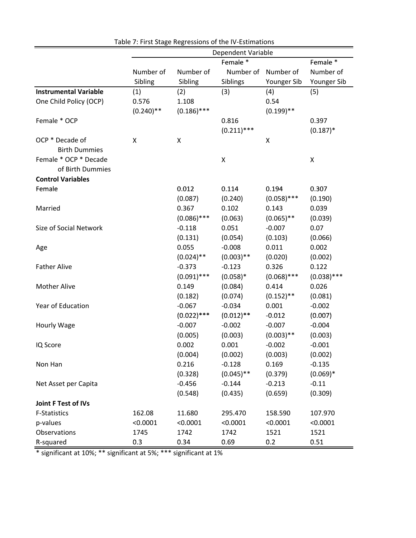|                              | Dependent Variable |               |               |                    |               |  |  |
|------------------------------|--------------------|---------------|---------------|--------------------|---------------|--|--|
|                              |                    |               | Female *      |                    | Female *      |  |  |
|                              | Number of          | Number of     | Number of     | Number of          | Number of     |  |  |
|                              | Sibling            | Sibling       | Siblings      | Younger Sib        | Younger Sib   |  |  |
| <b>Instrumental Variable</b> | (1)                | (2)           | (3)           | (4)                | (5)           |  |  |
| One Child Policy (OCP)       | 0.576              | 1.108         |               | 0.54               |               |  |  |
|                              | $(0.240)$ **       | $(0.186)$ *** |               | $(0.199)$ **       |               |  |  |
| Female * OCP                 |                    |               | 0.816         |                    | 0.397         |  |  |
|                              |                    |               | $(0.211)$ *** |                    | $(0.187)$ *   |  |  |
| OCP * Decade of              | X                  | X             |               | $\pmb{\mathsf{X}}$ |               |  |  |
| <b>Birth Dummies</b>         |                    |               |               |                    |               |  |  |
| Female * OCP * Decade        |                    |               | Χ             |                    | Χ             |  |  |
| of Birth Dummies             |                    |               |               |                    |               |  |  |
| <b>Control Variables</b>     |                    |               |               |                    |               |  |  |
| Female                       |                    | 0.012         | 0.114         | 0.194              | 0.307         |  |  |
|                              |                    | (0.087)       | (0.240)       | $(0.058)$ ***      | (0.190)       |  |  |
| Married                      |                    | 0.367         | 0.102         | 0.143              | 0.039         |  |  |
|                              |                    | $(0.086)$ *** | (0.063)       | $(0.065)$ **       | (0.039)       |  |  |
| Size of Social Network       |                    | $-0.118$      | 0.051         | $-0.007$           | 0.07          |  |  |
|                              |                    | (0.131)       | (0.054)       | (0.103)            | (0.066)       |  |  |
| Age                          |                    | 0.055         | $-0.008$      | 0.011              | 0.002         |  |  |
|                              |                    | $(0.024)$ **  | $(0.003)$ **  | (0.020)            | (0.002)       |  |  |
| <b>Father Alive</b>          |                    | $-0.373$      | $-0.123$      | 0.326              | 0.122         |  |  |
|                              |                    | $(0.091)$ *** | $(0.058)*$    | $(0.068)$ ***      | $(0.038)$ *** |  |  |
| <b>Mother Alive</b>          |                    | 0.149         | (0.084)       | 0.414              | 0.026         |  |  |
|                              |                    | (0.182)       | (0.074)       | $(0.152)$ **       | (0.081)       |  |  |
| Year of Education            |                    | $-0.067$      | $-0.034$      | 0.001              | $-0.002$      |  |  |
|                              |                    | $(0.022)$ *** | $(0.012)$ **  | $-0.012$           | (0.007)       |  |  |
| Hourly Wage                  |                    | $-0.007$      | $-0.002$      | $-0.007$           | $-0.004$      |  |  |
|                              |                    | (0.005)       | (0.003)       | $(0.003)$ **       | (0.003)       |  |  |
| IQ Score                     |                    | 0.002         | 0.001         | $-0.002$           | $-0.001$      |  |  |
|                              |                    | (0.004)       | (0.002)       | (0.003)            | (0.002)       |  |  |
| Non Han                      |                    | 0.216         | $-0.128$      | 0.169              | $-0.135$      |  |  |
|                              |                    | (0.328)       | $(0.045)$ **  | (0.379)            | $(0.069)*$    |  |  |
| Net Asset per Capita         |                    | $-0.456$      | $-0.144$      | $-0.213$           | $-0.11$       |  |  |
|                              |                    | (0.548)       | (0.435)       | (0.659)            | (0.309)       |  |  |
| <b>Joint F Test of IVs</b>   |                    |               |               |                    |               |  |  |
| <b>F-Statistics</b>          | 162.08             | 11.680        | 295.470       | 158.590            | 107.970       |  |  |
| p-values                     | < 0.0001           | < 0.0001      | < 0.0001      | < 0.0001           | < 0.0001      |  |  |
| Observations                 | 1745               | 1742          | 1742          | 1521               | 1521          |  |  |
| R-squared                    | 0.3                | 0.34          | 0.69          | 0.2                | 0.51          |  |  |

Table 7: First Stage Regressions of the IV‐Estimations

\* significant at 10%; \*\* significant at 5%; \*\*\* significant at 1%